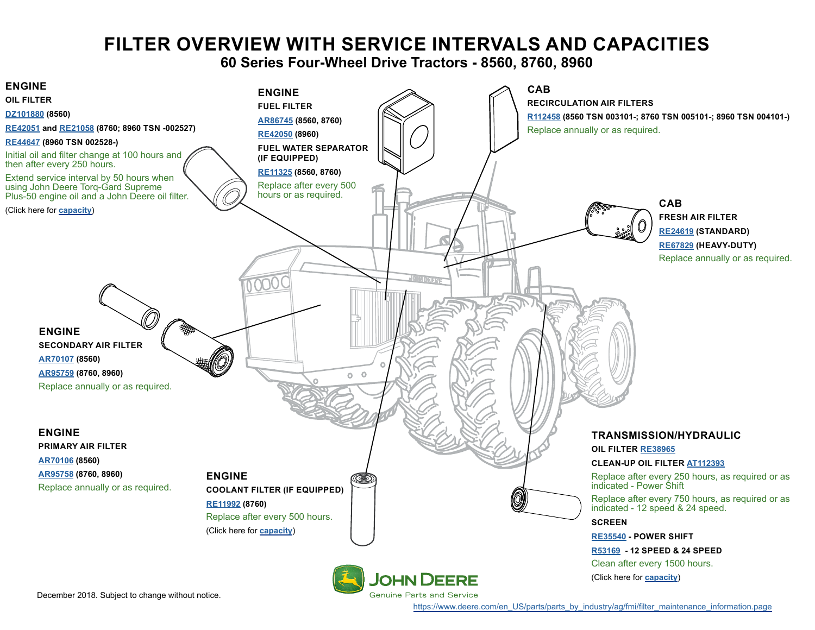# **FILTER OVERVIEW WITH SERVICE INTERVALS AND CAPACITIES**

**60 Series Four-Wheel Drive Tractors - 8560, 8760, 8960**

<span id="page-0-0"></span>

[https://www.deere.com/en\\_US/parts/parts\\_by\\_industry/ag/fmi/filter\\_maintenance\\_information.page](https://www.deere.com/en_US/parts/parts_by_industry/ag/fmi/filter_maintenance_information.page)